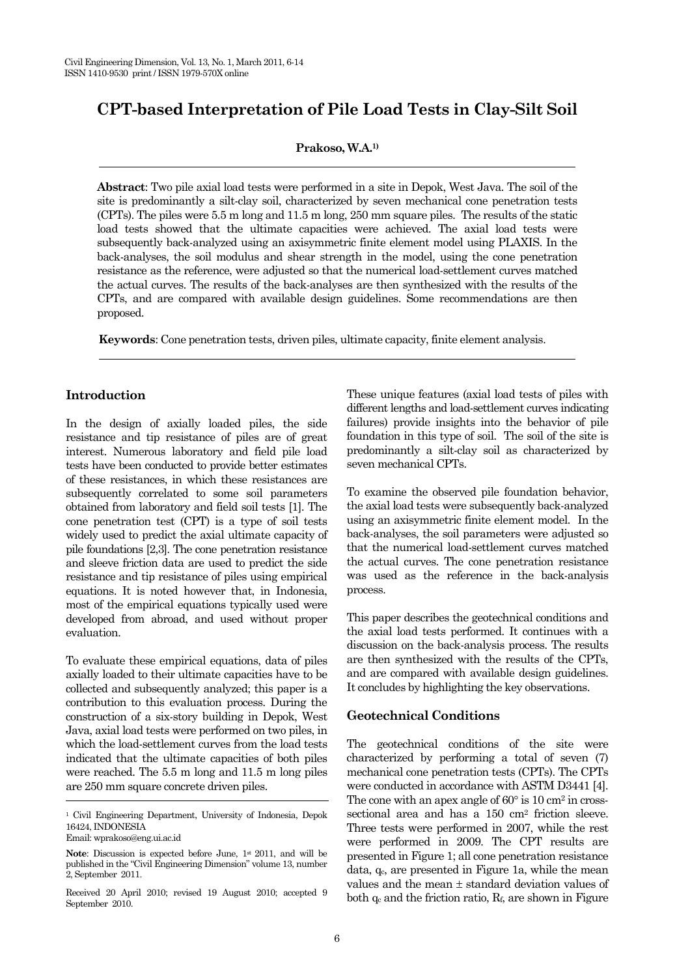# **CPT-based Interpretation of Pile Load Tests in Clay-Silt Soil**

**Prakoso, W.A.1)** 

**Abstract**: Two pile axial load tests were performed in a site in Depok, West Java. The soil of the site is predominantly a silt-clay soil, characterized by seven mechanical cone penetration tests (CPTs). The piles were 5.5 m long and 11.5 m long, 250 mm square piles. The results of the static load tests showed that the ultimate capacities were achieved. The axial load tests were subsequently back-analyzed using an axisymmetric finite element model using PLAXIS. In the back-analyses, the soil modulus and shear strength in the model, using the cone penetration resistance as the reference, were adjusted so that the numerical load-settlement curves matched the actual curves. The results of the back-analyses are then synthesized with the results of the CPTs, and are compared with available design guidelines. Some recommendations are then proposed.

**Keywords**: Cone penetration tests, driven piles, ultimate capacity, finite element analysis.

# **Introduction**

In the design of axially loaded piles, the side resistance and tip resistance of piles are of great interest. Numerous laboratory and field pile load tests have been conducted to provide better estimates of these resistances, in which these resistances are subsequently correlated to some soil parameters obtained from laboratory and field soil tests [1]. The cone penetration test (CPT) is a type of soil tests widely used to predict the axial ultimate capacity of pile foundations [2,3]. The cone penetration resistance and sleeve friction data are used to predict the side resistance and tip resistance of piles using empirical equations. It is noted however that, in Indonesia, most of the empirical equations typically used were developed from abroad, and used without proper evaluation.

To evaluate these empirical equations, data of piles axially loaded to their ultimate capacities have to be collected and subsequently analyzed; this paper is a contribution to this evaluation process. During the construction of a six-story building in Depok, West Java, axial load tests were performed on two piles, in which the load-settlement curves from the load tests indicated that the ultimate capacities of both piles were reached. The 5.5 m long and 11.5 m long piles are 250 mm square concrete driven piles.

Email: wprakoso@eng.ui.ac.id

Received 20 April 2010; revised 19 August 2010; accepted 9 September 2010.

These unique features (axial load tests of piles with different lengths and load-settlement curves indicating failures) provide insights into the behavior of pile foundation in this type of soil. The soil of the site is predominantly a silt-clay soil as characterized by seven mechanical CPTs.

To examine the observed pile foundation behavior, the axial load tests were subsequently back-analyzed using an axisymmetric finite element model. In the back-analyses, the soil parameters were adjusted so that the numerical load-settlement curves matched the actual curves. The cone penetration resistance was used as the reference in the back-analysis process.

This paper describes the geotechnical conditions and the axial load tests performed. It continues with a discussion on the back-analysis process. The results are then synthesized with the results of the CPTs, and are compared with available design guidelines. It concludes by highlighting the key observations.

## **Geotechnical Conditions**

The geotechnical conditions of the site were characterized by performing a total of seven (7) mechanical cone penetration tests (CPTs). The CPTs were conducted in accordance with ASTM D3441 [4]. The cone with an apex angle of  $60^{\circ}$  is  $10 \text{ cm}^2$  in crosssectional area and has a 150 cm2 friction sleeve. Three tests were performed in 2007, while the rest were performed in 2009. The CPT results are presented in Figure 1; all cone penetration resistance data, q<sub>c</sub>, are presented in Figure 1a, while the mean values and the mean ± standard deviation values of both  $q_c$  and the friction ratio,  $R_f$ , are shown in Figure

<sup>1</sup> Civil Engineering Department, University of Indonesia, Depok 16424, INDONESIA

**Note**: Discussion is expected before June, 1<sup>st</sup> 2011, and will be published in the "Civil Engineering Dimension" volume 13, number 2, September 2011.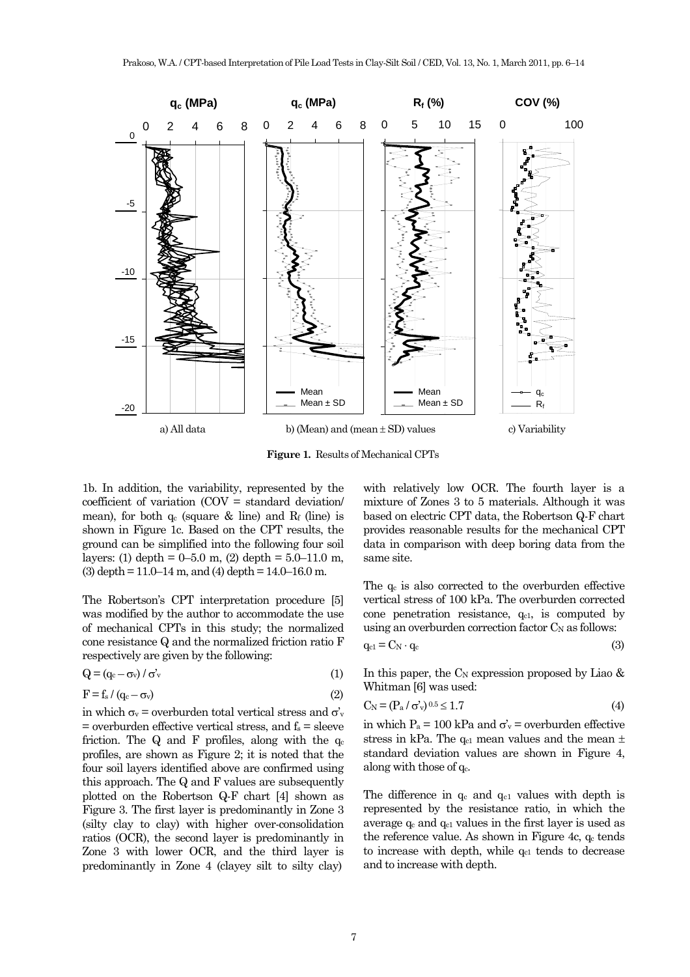

**Figure 1.** Results of Mechanical CPTs

1b. In addition, the variability, represented by the coefficient of variation (COV = standard deviation/ mean), for both  $q_c$  (square  $\&$  line) and  $R_f$  (line) is shown in Figure 1c. Based on the CPT results, the ground can be simplified into the following four soil layers: (1) depth =  $0-5.0$  m, (2) depth =  $5.0-11.0$  m,  $(3)$  depth = 11.0–14 m, and  $(4)$  depth = 14.0–16.0 m.

The Robertson's CPT interpretation procedure [5] was modified by the author to accommodate the use of mechanical CPTs in this study; the normalized cone resistance Q and the normalized friction ratio F respectively are given by the following:

$$
Q = (q_c - \sigma_v) / \sigma_v' \tag{1}
$$

$$
F = f_s / (q_c - \sigma_v) \tag{2}
$$

in which  $\sigma_v$  = overburden total vertical stress and  $\sigma_v$  $=$  overburden effective vertical stress, and  $f_s =$  sleeve friction. The Q and F profiles, along with the  $q_c$ profiles, are shown as Figure 2; it is noted that the four soil layers identified above are confirmed using this approach. The Q and F values are subsequently plotted on the Robertson Q-F chart [4] shown as Figure 3. The first layer is predominantly in Zone 3 (silty clay to clay) with higher over-consolidation ratios (OCR), the second layer is predominantly in Zone 3 with lower OCR, and the third layer is predominantly in Zone 4 (clayey silt to silty clay)

with relatively low OCR. The fourth layer is a mixture of Zones 3 to 5 materials. Although it was based on electric CPT data, the Robertson Q-F chart provides reasonable results for the mechanical CPT data in comparison with deep boring data from the same site.

The  $q_c$  is also corrected to the overburden effective vertical stress of 100 kPa. The overburden corrected cone penetration resistance,  $q_{c1}$ , is computed by using an overburden correction factor  $C_N$  as follows:

$$
q_{c1} = C_N \cdot q_c \tag{3}
$$

In this paper, the  $C_N$  expression proposed by Liao  $\&$ Whitman [6] was used:

$$
C_N = (P_a / \sigma_v)^{0.5} \le 1.7
$$
 (4)

in which  $P_a = 100 \text{ kPa}$  and  $\sigma_v =$  overburden effective stress in kPa. The  $q_{c1}$  mean values and the mean  $\pm$ standard deviation values are shown in Figure 4, along with those of  $q_c$ .

The difference in  $q_c$  and  $q_{c1}$  values with depth is represented by the resistance ratio, in which the average  $q_c$  and  $q_{c1}$  values in the first layer is used as the reference value. As shown in Figure 4c,  $q_c$  tends to increase with depth, while  $q_{c1}$  tends to decrease and to increase with depth.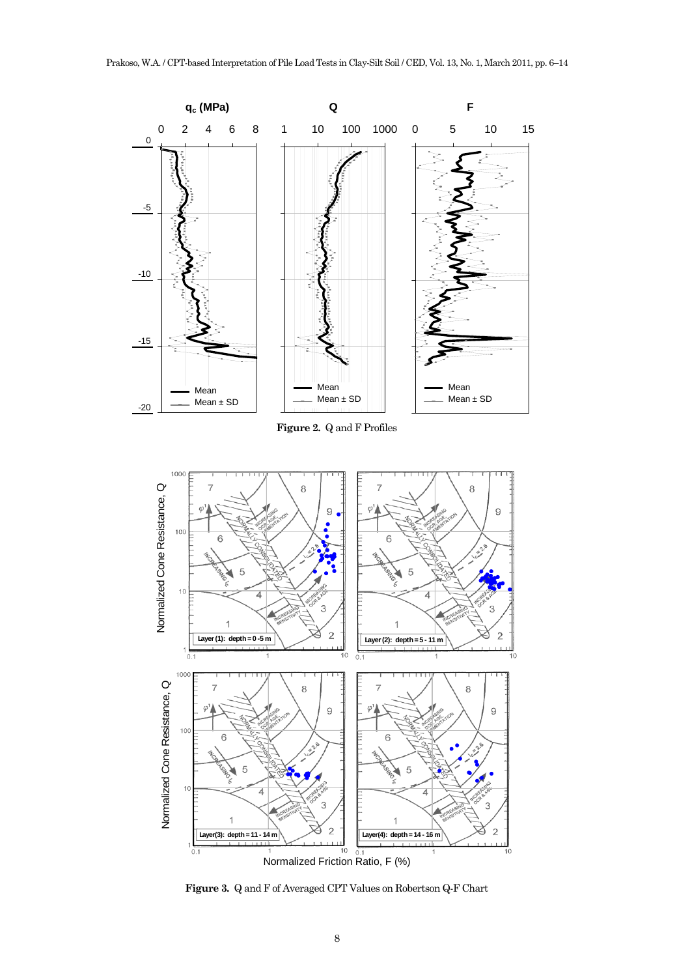

**Figure 3.** Q and F of Averaged CPT Values on Robertson Q-F Chart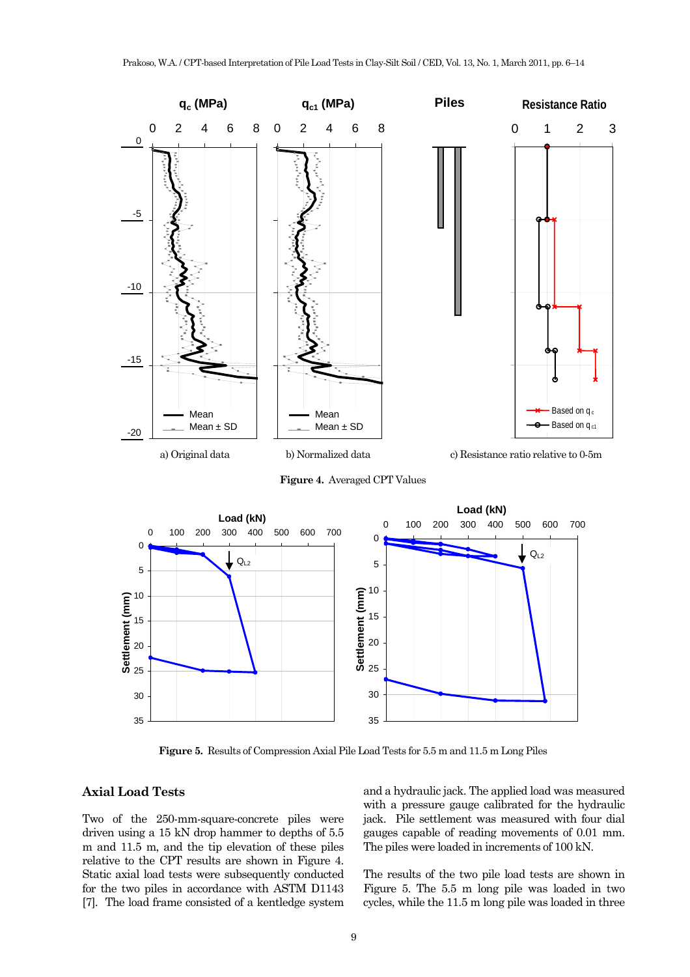



**Figure 5.** Results of Compression Axial Pile Load Tests for 5.5 m and 11.5 m Long Piles

# **Axial Load Tests**

Two of the 250-mm-square-concrete piles were driven using a 15 kN drop hammer to depths of 5.5 m and 11.5 m, and the tip elevation of these piles relative to the CPT results are shown in Figure 4. Static axial load tests were subsequently conducted for the two piles in accordance with ASTM D1143 [7]. The load frame consisted of a kentledge system and a hydraulic jack. The applied load was measured with a pressure gauge calibrated for the hydraulic jack. Pile settlement was measured with four dial gauges capable of reading movements of 0.01 mm. The piles were loaded in increments of 100 kN.

The results of the two pile load tests are shown in Figure 5. The 5.5 m long pile was loaded in two cycles, while the 11.5 m long pile was loaded in three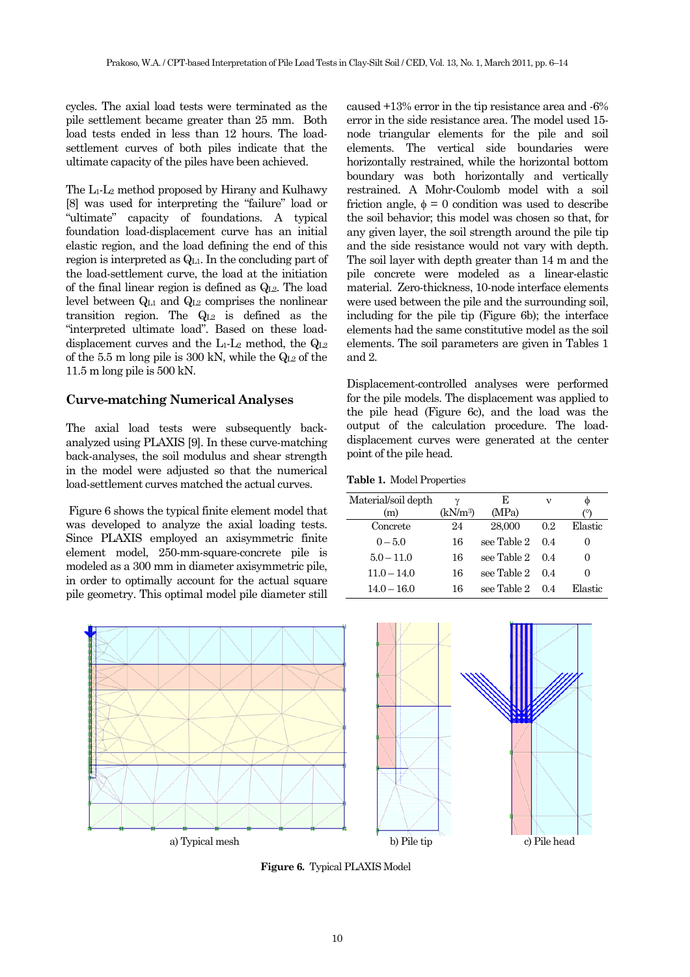cycles. The axial load tests were terminated as the pile settlement became greater than 25 mm. Both load tests ended in less than 12 hours. The loadsettlement curves of both piles indicate that the ultimate capacity of the piles have been achieved.

The L1-L2 method proposed by Hirany and Kulhawy [8] was used for interpreting the "failure" load or "ultimate" capacity of foundations. A typical foundation load-displacement curve has an initial elastic region, and the load defining the end of this region is interpreted as QL1. In the concluding part of the load-settlement curve, the load at the initiation of the final linear region is defined as  $Q<sub>L2</sub>$ . The load level between QL1 and QL2 comprises the nonlinear transition region. The  $Q_{L2}$  is defined as the "interpreted ultimate load". Based on these loaddisplacement curves and the  $L_1$ - $L_2$  method, the  $Q_{L2}$ of the 5.5 m long pile is 300 kN, while the  $Q_{L2}$  of the 11.5 m long pile is 500 kN.

# **Curve-matching Numerical Analyses**

The axial load tests were subsequently backanalyzed using PLAXIS [9]. In these curve-matching back-analyses, the soil modulus and shear strength in the model were adjusted so that the numerical load-settlement curves matched the actual curves.

 Figure 6 shows the typical finite element model that was developed to analyze the axial loading tests. Since PLAXIS employed an axisymmetric finite element model, 250-mm-square-concrete pile is modeled as a 300 mm in diameter axisymmetric pile, in order to optimally account for the actual square pile geometry. This optimal model pile diameter still caused +13% error in the tip resistance area and -6% error in the side resistance area. The model used 15 node triangular elements for the pile and soil elements. The vertical side boundaries were horizontally restrained, while the horizontal bottom boundary was both horizontally and vertically restrained. A Mohr-Coulomb model with a soil friction angle,  $\phi = 0$  condition was used to describe the soil behavior; this model was chosen so that, for any given layer, the soil strength around the pile tip and the side resistance would not vary with depth. The soil layer with depth greater than 14 m and the pile concrete were modeled as a linear-elastic material. Zero-thickness, 10-node interface elements were used between the pile and the surrounding soil, including for the pile tip (Figure 6b); the interface elements had the same constitutive model as the soil elements. The soil parameters are given in Tables 1 and 2.

Displacement-controlled analyses were performed for the pile models. The displacement was applied to the pile head (Figure 6c), and the load was the output of the calculation procedure. The loaddisplacement curves were generated at the center point of the pile head.

**Table 1.** Model Properties

| Material/soil depth | γ                    | Е           | ν   | Ф       |
|---------------------|----------------------|-------------|-----|---------|
| (m)                 | (kN/m <sup>3</sup> ) | (MPa)       |     |         |
| Concrete            | 24                   | 28,000      | 0.2 | Elastic |
| $0 - 5.0$           | 16                   | see Table 2 | 0.4 | 0       |
| $5.0 - 11.0$        | 16                   | see Table 2 | 0.4 | 0       |
| $11.0 - 14.0$       | 16                   | see Table 2 | 0.4 |         |
| $14.0 - 16.0$       | 16                   | see Table 2 | 0.4 | Elastic |



**Figure 6.** Typical PLAXIS Model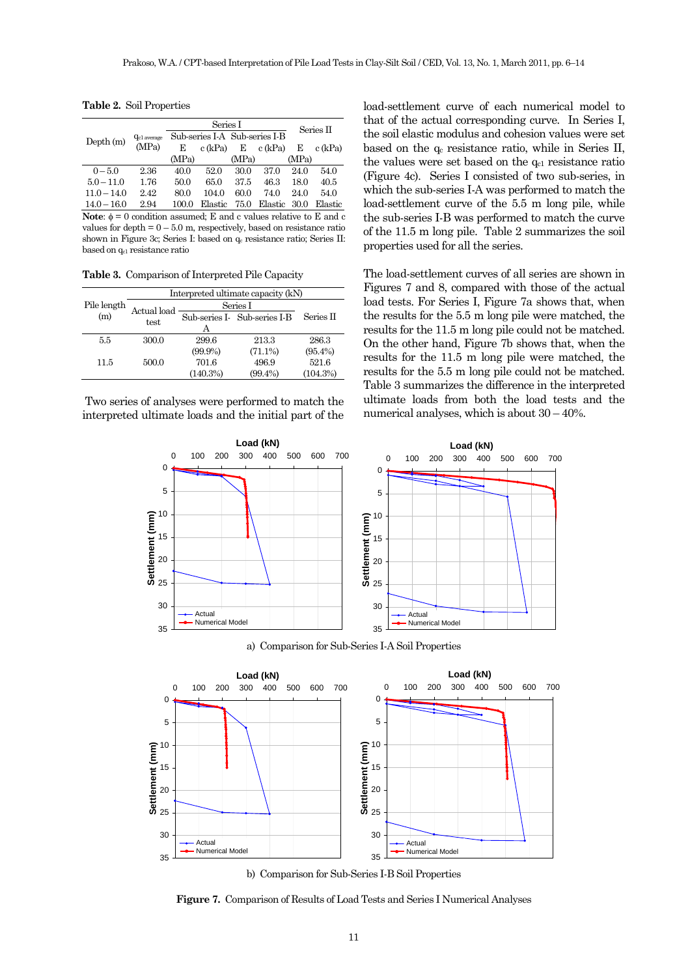|                |                         | Series I                      |         |                                            | Series II |                                                |              |
|----------------|-------------------------|-------------------------------|---------|--------------------------------------------|-----------|------------------------------------------------|--------------|
| Depth(m)       | Q <sub>c1</sub> average | Sub-series I-A Sub-series I-B |         |                                            |           |                                                |              |
|                | (MPa)                   | E                             | c (kPa) | Е                                          | c (kPa)   | Е                                              | c (kPa)      |
|                |                         | (MPa)                         |         | (MPa)                                      |           | (MPa)                                          |              |
| $0 - 5.0$      | 2.36                    | 40.0                          | 52.0    | 30.0                                       | 37.0      | 24.0                                           | 54.0         |
| $5.0 - 11.0$   | 1.76                    | 50.0                          | 65.0    | 37.5                                       | 46.3      | 18.0                                           | 40.5         |
| $11.0 - 14.0$  | 2.42                    | 80.0                          | 104.0   | 60.0                                       | 74.0      | 24.0                                           | 54.0         |
| $14.0 - 16.0$  | 2.94                    | 100.0                         | Elastic | 75.0                                       | Elastic   | 30.0                                           | Elastic      |
| $\blacksquare$ | $\cdots$                |                               | 1 T.    | $\mathbf{r}$ , $\mathbf{r}$ , $\mathbf{r}$ |           | $\mathbf{r}$ and $\mathbf{r}$ and $\mathbf{r}$ | $\mathbf{r}$ |

**Table 2.** Soil Properties

**Note:**  $\phi = 0$  condition assumed; E and c values relative to E and c values for depth  $= 0 - 5.0$  m, respectively, based on resistance ratio shown in Figure 3c; Series I: based on  $q_c$  resistance ratio; Series II: based on qc1 resistance ratio

**Table 3.** Comparison of Interpreted Pile Capacity

|             | Interpreted ultimate capacity (kN) |            |                              |              |  |
|-------------|------------------------------------|------------|------------------------------|--------------|--|
| Pile length | Actual load<br>test                | Series I   |                              |              |  |
| (m)         |                                    |            | Sub-series I- Sub-series I-B | Series $\Pi$ |  |
|             |                                    | А          |                              |              |  |
| 5.5         | 300.0                              | 299.6      | 213.3                        | 286.3        |  |
|             |                                    | $(99.9\%)$ | $(71.1\%)$                   | $(95.4\%)$   |  |
| 11.5        | 500.0                              | 701.6      | 496.9                        | 521.6        |  |
|             |                                    | (140.3%)   | $(99.4\%)$                   | (104.3%)     |  |

 Two series of analyses were performed to match the interpreted ultimate loads and the initial part of the load-settlement curve of each numerical model to that of the actual corresponding curve. In Series I, the soil elastic modulus and cohesion values were set based on the  $q_c$  resistance ratio, while in Series II, the values were set based on the  $q_{c1}$  resistance ratio (Figure 4c). Series I consisted of two sub-series, in which the sub-series I-A was performed to match the load-settlement curve of the 5.5 m long pile, while the sub-series I-B was performed to match the curve of the 11.5 m long pile. Table 2 summarizes the soil properties used for all the series.

The load-settlement curves of all series are shown in Figures 7 and 8, compared with those of the actual load tests. For Series I, Figure 7a shows that, when the results for the 5.5 m long pile were matched, the results for the 11.5 m long pile could not be matched. On the other hand, Figure 7b shows that, when the results for the 11.5 m long pile were matched, the results for the 5.5 m long pile could not be matched. Table 3 summarizes the difference in the interpreted ultimate loads from both the load tests and the numerical analyses, which is about 30 – 40%.



a) Comparison for Sub-Series I-A Soil Properties



**Figure 7.** Comparison of Results of Load Tests and Series I Numerical Analyses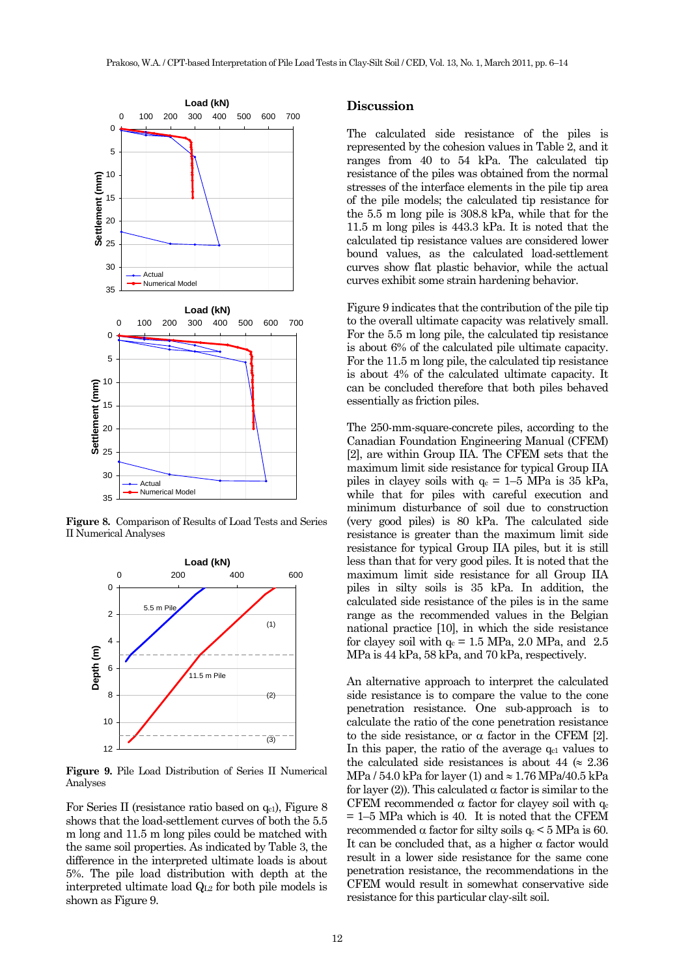

**Figure 8.** Comparison of Results of Load Tests and Series II Numerical Analyses



**Figure 9.** Pile Load Distribution of Series II Numerical Analyses

For Series II (resistance ratio based on  $q_{c1}$ ), Figure 8 shows that the load-settlement curves of both the 5.5 m long and 11.5 m long piles could be matched with the same soil properties. As indicated by Table 3, the difference in the interpreted ultimate loads is about 5%. The pile load distribution with depth at the interpreted ultimate load QL<sub>2</sub> for both pile models is shown as Figure 9.

## **Discussion**

The calculated side resistance of the piles is represented by the cohesion values in Table 2, and it ranges from 40 to 54 kPa. The calculated tip resistance of the piles was obtained from the normal stresses of the interface elements in the pile tip area of the pile models; the calculated tip resistance for the 5.5 m long pile is 308.8 kPa, while that for the 11.5 m long piles is 443.3 kPa. It is noted that the calculated tip resistance values are considered lower bound values, as the calculated load-settlement curves show flat plastic behavior, while the actual curves exhibit some strain hardening behavior.

Figure 9 indicates that the contribution of the pile tip to the overall ultimate capacity was relatively small. For the 5.5 m long pile, the calculated tip resistance is about 6% of the calculated pile ultimate capacity. For the 11.5 m long pile, the calculated tip resistance is about 4% of the calculated ultimate capacity. It can be concluded therefore that both piles behaved essentially as friction piles.

The 250-mm-square-concrete piles, according to the Canadian Foundation Engineering Manual (CFEM) [2], are within Group IIA. The CFEM sets that the maximum limit side resistance for typical Group IIA piles in clayey soils with  $q_c = 1–5$  MPa is 35 kPa, while that for piles with careful execution and minimum disturbance of soil due to construction (very good piles) is 80 kPa. The calculated side resistance is greater than the maximum limit side resistance for typical Group IIA piles, but it is still less than that for very good piles. It is noted that the maximum limit side resistance for all Group IIA piles in silty soils is 35 kPa. In addition, the calculated side resistance of the piles is in the same range as the recommended values in the Belgian national practice [10], in which the side resistance for clayey soil with  $q_c = 1.5$  MPa, 2.0 MPa, and 2.5 MPa is 44 kPa, 58 kPa, and 70 kPa, respectively.

An alternative approach to interpret the calculated side resistance is to compare the value to the cone penetration resistance. One sub-approach is to calculate the ratio of the cone penetration resistance to the side resistance, or α factor in the CFEM [2]. In this paper, the ratio of the average  $q_{c1}$  values to the calculated side resistances is about 44 ( $\approx 2.36$ ) MPa / 54.0 kPa for layer (1) and  $\approx 1.76$  MPa/40.5 kPa for layer (2)). This calculated α factor is similar to the CFEM recommended  $\alpha$  factor for clayey soil with  $q_c$  $= 1-5$  MPa which is 40. It is noted that the CFEM recommended  $\alpha$  factor for silty soils  $q_c < 5$  MPa is 60. It can be concluded that, as a higher  $\alpha$  factor would result in a lower side resistance for the same cone penetration resistance, the recommendations in the CFEM would result in somewhat conservative side resistance for this particular clay-silt soil.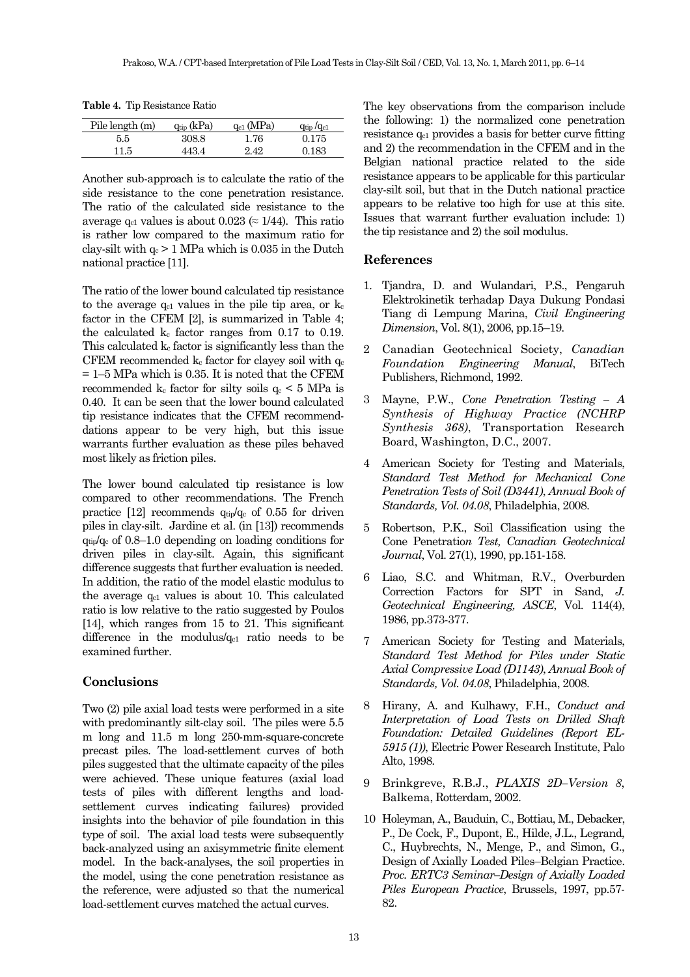**Table 4.** Tip Resistance Ratio

| Pile length (m) | $q_{\text{tip}}$ (kPa) | $q_{c1}$ (MPa) | $q_{\text{tip}}/q_{\text{c1}}$ |
|-----------------|------------------------|----------------|--------------------------------|
| 5.5             | 308.8                  | 1.76           | 0.175                          |
| 11.5            | 443.4                  | 2.42           | 0.183                          |

Another sub-approach is to calculate the ratio of the side resistance to the cone penetration resistance. The ratio of the calculated side resistance to the average  $q_{c1}$  values is about 0.023 ( $\approx$  1/44). This ratio is rather low compared to the maximum ratio for clay-silt with  $q_c$  > 1 MPa which is 0.035 in the Dutch national practice [11].

The ratio of the lower bound calculated tip resistance to the average  $q_{c1}$  values in the pile tip area, or  $k_c$ factor in the CFEM [2], is summarized in Table 4; the calculated  $k_c$  factor ranges from 0.17 to 0.19. This calculated kc factor is significantly less than the CFEM recommended  $k_c$  factor for clayey soil with  $q_c$  $= 1-5$  MPa which is 0.35. It is noted that the CFEM recommended  $k_c$  factor for silty soils  $q_c \leq 5$  MPa is 0.40. It can be seen that the lower bound calculated tip resistance indicates that the CFEM recommenddations appear to be very high, but this issue warrants further evaluation as these piles behaved most likely as friction piles.

The lower bound calculated tip resistance is low compared to other recommendations. The French practice [12] recommends  $q_{tip}/q_c$  of 0.55 for driven piles in clay-silt. Jardine et al. (in [13]) recommends  $q_{tip}/q_c$  of 0.8–1.0 depending on loading conditions for driven piles in clay-silt. Again, this significant difference suggests that further evaluation is needed. In addition, the ratio of the model elastic modulus to the average  $q_{c1}$  values is about 10. This calculated ratio is low relative to the ratio suggested by Poulos [14], which ranges from 15 to 21. This significant difference in the modulus/ $q_{c1}$  ratio needs to be examined further.

## **Conclusions**

Two (2) pile axial load tests were performed in a site with predominantly silt-clay soil. The piles were  $5.5$ m long and 11.5 m long 250-mm-square-concrete precast piles. The load-settlement curves of both piles suggested that the ultimate capacity of the piles were achieved. These unique features (axial load tests of piles with different lengths and loadsettlement curves indicating failures) provided insights into the behavior of pile foundation in this type of soil. The axial load tests were subsequently back-analyzed using an axisymmetric finite element model. In the back-analyses, the soil properties in the model, using the cone penetration resistance as the reference, were adjusted so that the numerical load-settlement curves matched the actual curves.

The key observations from the comparison include the following: 1) the normalized cone penetration resistance qc1 provides a basis for better curve fitting and 2) the recommendation in the CFEM and in the Belgian national practice related to the side resistance appears to be applicable for this particular clay-silt soil, but that in the Dutch national practice appears to be relative too high for use at this site. Issues that warrant further evaluation include: 1) the tip resistance and 2) the soil modulus.

#### **References**

- 1. Tjandra, D. and Wulandari, P.S., Pengaruh Elektrokinetik terhadap Daya Dukung Pondasi Tiang di Lempung Marina, *Civil Engineering Dimension*, Vol. 8(1), 2006, pp.15–19.
- 2 Canadian Geotechnical Society, *Canadian Foundation Engineering Manual*, BiTech Publishers, Richmond, 1992.
- 3 Mayne, P.W., *Cone Penetration Testing A Synthesis of Highway Practice (NCHRP Synthesis 368)*, Transportation Research Board, Washington, D.C., 2007.
- 4 American Society for Testing and Materials, *Standard Test Method for Mechanical Cone Penetration Tests of Soil (D3441)*, *Annual Book of Standards, Vol. 04.08*, Philadelphia, 2008.
- 5 Robertson, P.K., Soil Classification using the Cone Penetratio*n Test, Canadian Geotechnical Journal*, Vol. 27(1), 1990, pp.151-158.
- 6 Liao, S.C. and Whitman, R.V., Overburden Correction Factors for SPT in Sand, *J. Geotechnical Engineering, ASCE*, Vol. 114(4), 1986, pp.373-377.
- 7 American Society for Testing and Materials, *Standard Test Method for Piles under Static Axial Compressive Load (D1143)*, *Annual Book of Standards, Vol. 04.08*, Philadelphia, 2008.
- 8 Hirany, A. and Kulhawy, F.H., *Conduct and Interpretation of Load Tests on Drilled Shaft Foundation: Detailed Guidelines (Report EL-5915 (1))*, Electric Power Research Institute, Palo Alto, 1998.
- 9 Brinkgreve, R.B.J., *PLAXIS 2D–Version 8*, Balkema, Rotterdam, 2002.
- 10 Holeyman, A., Bauduin, C., Bottiau, M., Debacker, P., De Cock, F., Dupont, E., Hilde, J.L., Legrand, C., Huybrechts, N., Menge, P., and Simon, G., Design of Axially Loaded Piles–Belgian Practice. *Proc. ERTC3 Seminar–Design of Axially Loaded Piles European Practice*, Brussels, 1997, pp.57- 82.